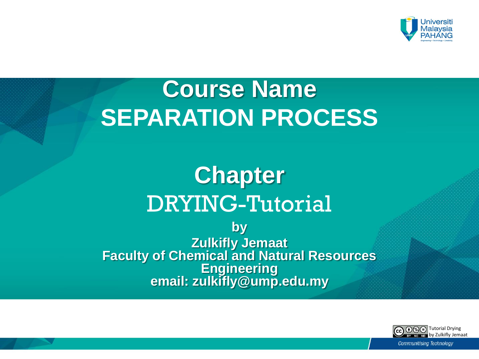

# **Course Name SEPARATION PROCESS**

## **Chapter**  DRYING-Tutorial

**by Zulkifly Jemaat Faculty of Chemical and Natural Resources Engineering email: zulkifly@ump.edu.my**

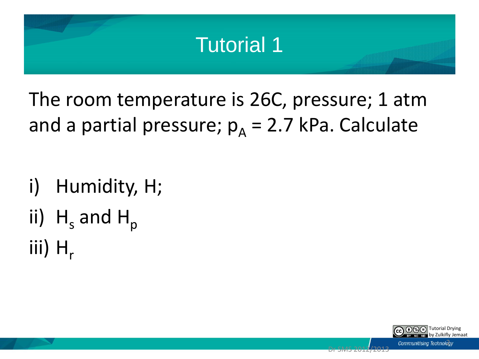## Tutorial 1

The room temperature is 26C, pressure; 1 atm and a partial pressure;  $p_A = 2.7$  kPa. Calculate

i) Humidity, H; ii)  $H_s$  and  $H_p$ iii)  $H_r$ 

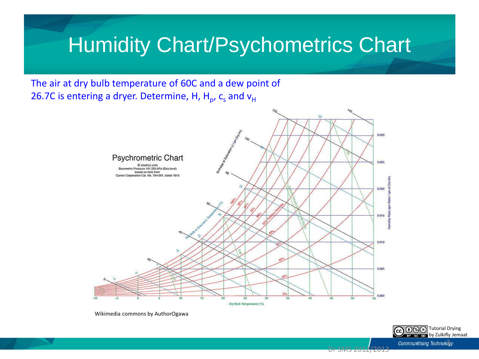#### **Humidity Chart/Psychometrics Chart**

The air at dry bulb temperature of 60C and a dew point of 26.7C is entering a dryer. Determine, H, H<sub>p</sub>, c<sub>s</sub> and v<sub>H</sub>



Wikimedia commons by AuthorOgawa

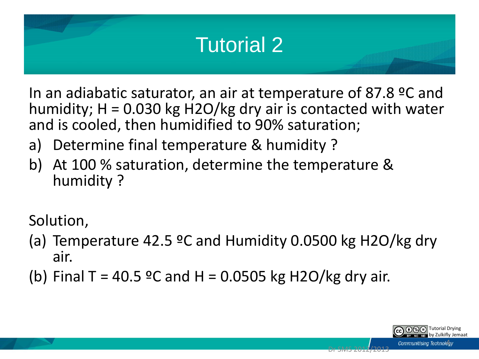

In an adiabatic saturator, an air at temperature of 87.8 ºC and humidity;  $H = 0.030$  kg H2O/kg dry air is contacted with water and is cooled, then humidified to 90% saturation;

- a) Determine final temperature & humidity ?
- b) At 100 % saturation, determine the temperature & humidity ?

Solution,

- (a) Temperature 42.5  $\degree$ C and Humidity 0.0500 kg H2O/kg dry air.
- (b) Final T = 40.5 °C and H = 0.0505 kg H2O/kg dry air.

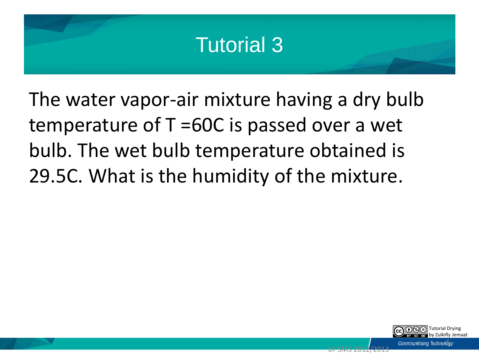### Tutorial 3

The water vapor-air mixture having a dry bulb temperature of T =60C is passed over a wet bulb. The wet bulb temperature obtained is 29.5C. What is the humidity of the mixture.